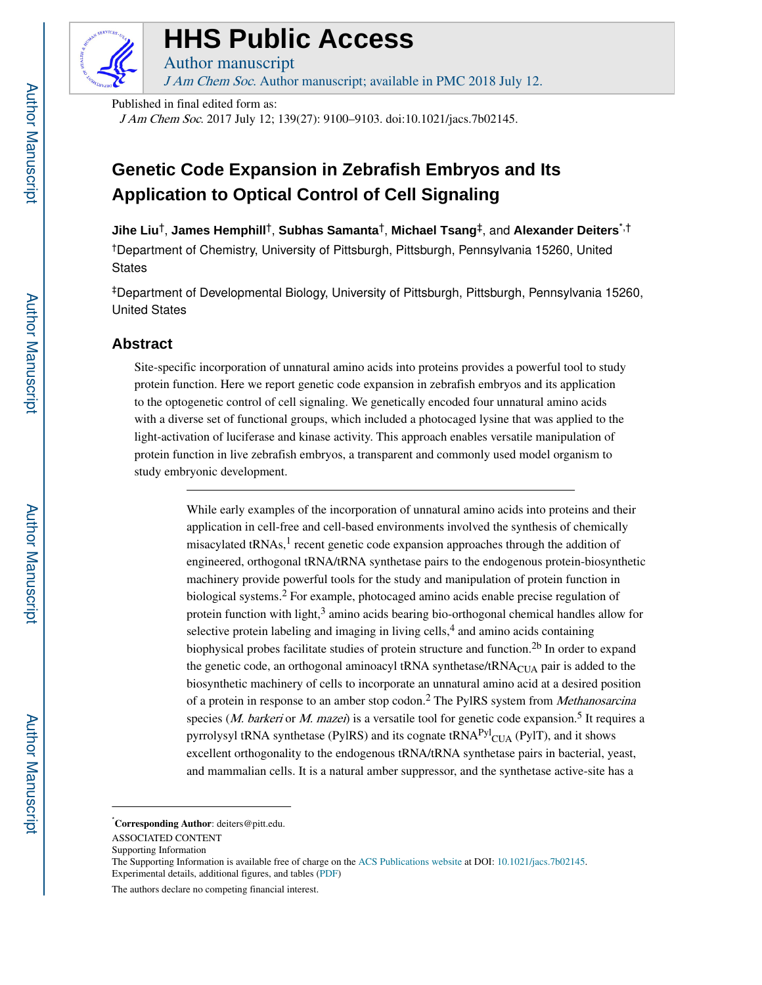

# **HHS Public Access**

Author manuscript J Am Chem Soc. Author manuscript; available in PMC 2018 July 12.

Published in final edited form as:

J Am Chem Soc. 2017 July 12; 139(27): 9100–9103. doi:10.1021/jacs.7b02145.

# **Genetic Code Expansion in Zebrafish Embryos and Its Application to Optical Control of Cell Signaling**

**Jihe Liu**†, **James Hemphill**†, **Subhas Samanta**†, **Michael Tsang**‡, and **Alexander Deiters**\*,† †Department of Chemistry, University of Pittsburgh, Pittsburgh, Pennsylvania 15260, United **States** 

‡Department of Developmental Biology, University of Pittsburgh, Pittsburgh, Pennsylvania 15260, United States

# **Abstract**

Site-specific incorporation of unnatural amino acids into proteins provides a powerful tool to study protein function. Here we report genetic code expansion in zebrafish embryos and its application to the optogenetic control of cell signaling. We genetically encoded four unnatural amino acids with a diverse set of functional groups, which included a photocaged lysine that was applied to the light-activation of luciferase and kinase activity. This approach enables versatile manipulation of protein function in live zebrafish embryos, a transparent and commonly used model organism to study embryonic development.

> While early examples of the incorporation of unnatural amino acids into proteins and their application in cell-free and cell-based environments involved the synthesis of chemically misacylated tRNAs,<sup>1</sup> recent genetic code expansion approaches through the addition of engineered, orthogonal tRNA/tRNA synthetase pairs to the endogenous protein-biosynthetic machinery provide powerful tools for the study and manipulation of protein function in biological systems.<sup>2</sup> For example, photocaged amino acids enable precise regulation of protein function with light,<sup>3</sup> amino acids bearing bio-orthogonal chemical handles allow for selective protein labeling and imaging in living cells,<sup>4</sup> and amino acids containing biophysical probes facilitate studies of protein structure and function.<sup>2b</sup> In order to expand the genetic code, an orthogonal aminoacyl tRNA synthetase/ $t$ RNA $_{\text{CIIA}}$  pair is added to the biosynthetic machinery of cells to incorporate an unnatural amino acid at a desired position of a protein in response to an amber stop codon.<sup>2</sup> The PylRS system from *Methanosarcina* species (*M. barkeri* or *M. mazei*) is a versatile tool for genetic code expansion.<sup>5</sup> It requires a pyrrolysyl tRNA synthetase (PylRS) and its cognate tRNA<sup>Pyl</sup>CUA (PylT), and it shows excellent orthogonality to the endogenous tRNA/tRNA synthetase pairs in bacterial, yeast, and mammalian cells. It is a natural amber suppressor, and the synthetase active-site has a

<sup>\*</sup>**Corresponding Author**: deiters@pitt.edu.

ASSOCIATED CONTENT

Supporting Information

The Supporting Information is available free of charge on the ACS Publications website at DOI: 10.1021/jacs.7b02145. Experimental details, additional figures, and tables (PDF)

The authors declare no competing financial interest.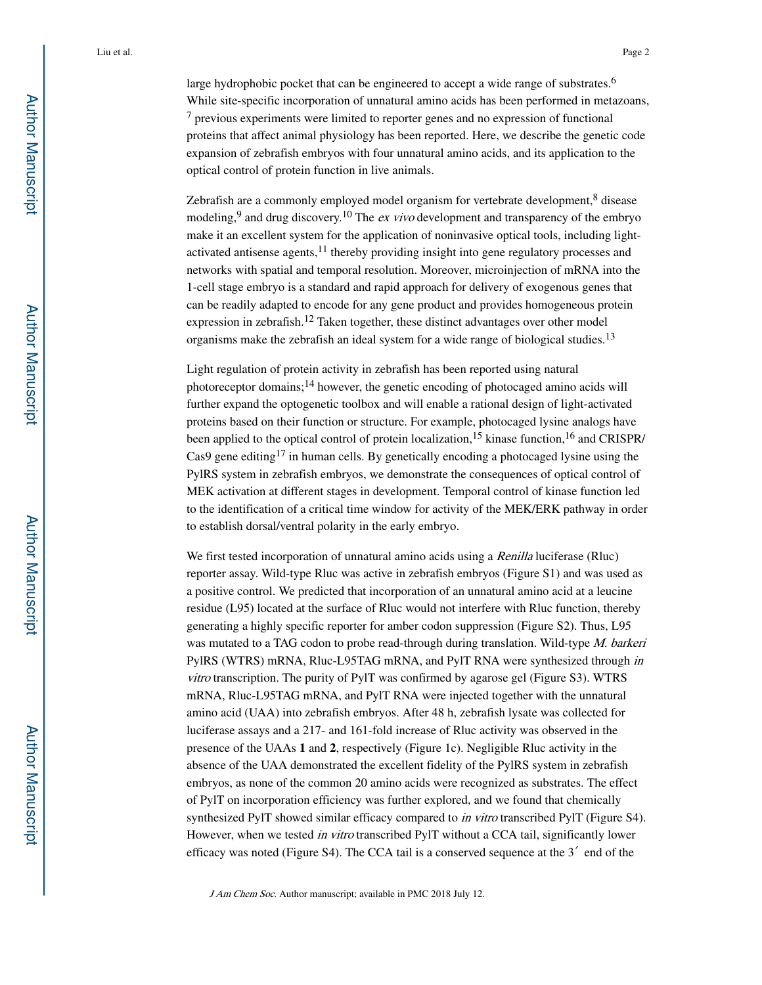large hydrophobic pocket that can be engineered to accept a wide range of substrates.<sup>6</sup> While site-specific incorporation of unnatural amino acids has been performed in metazoans, <sup>7</sup> previous experiments were limited to reporter genes and no expression of functional proteins that affect animal physiology has been reported. Here, we describe the genetic code expansion of zebrafish embryos with four unnatural amino acids, and its application to the optical control of protein function in live animals.

Zebrafish are a commonly employed model organism for vertebrate development,<sup>8</sup> disease modeling,<sup>9</sup> and drug discovery.<sup>10</sup> The *ex vivo* development and transparency of the embryo make it an excellent system for the application of noninvasive optical tools, including lightactivated antisense agents, $11$  thereby providing insight into gene regulatory processes and networks with spatial and temporal resolution. Moreover, microinjection of mRNA into the 1-cell stage embryo is a standard and rapid approach for delivery of exogenous genes that can be readily adapted to encode for any gene product and provides homogeneous protein expression in zebrafish.12 Taken together, these distinct advantages over other model organisms make the zebrafish an ideal system for a wide range of biological studies.<sup>13</sup>

Light regulation of protein activity in zebrafish has been reported using natural photoreceptor domains;14 however, the genetic encoding of photocaged amino acids will further expand the optogenetic toolbox and will enable a rational design of light-activated proteins based on their function or structure. For example, photocaged lysine analogs have been applied to the optical control of protein localization,<sup>15</sup> kinase function,<sup>16</sup> and CRISPR/ Cas9 gene editing<sup>17</sup> in human cells. By genetically encoding a photocaged lysine using the PylRS system in zebrafish embryos, we demonstrate the consequences of optical control of MEK activation at different stages in development. Temporal control of kinase function led to the identification of a critical time window for activity of the MEK/ERK pathway in order to establish dorsal/ventral polarity in the early embryo.

We first tested incorporation of unnatural amino acids using a *Renilla* luciferase (Rluc) reporter assay. Wild-type Rluc was active in zebrafish embryos (Figure S1) and was used as a positive control. We predicted that incorporation of an unnatural amino acid at a leucine residue (L95) located at the surface of Rluc would not interfere with Rluc function, thereby generating a highly specific reporter for amber codon suppression (Figure S2). Thus, L95 was mutated to a TAG codon to probe read-through during translation. Wild-type M. barkeri PylRS (WTRS) mRNA, Rluc-L95TAG mRNA, and PylT RNA were synthesized through in vitro transcription. The purity of PylT was confirmed by agarose gel (Figure S3). WTRS mRNA, Rluc-L95TAG mRNA, and PylT RNA were injected together with the unnatural amino acid (UAA) into zebrafish embryos. After 48 h, zebrafish lysate was collected for luciferase assays and a 217- and 161-fold increase of Rluc activity was observed in the presence of the UAAs **1** and **2**, respectively (Figure 1c). Negligible Rluc activity in the absence of the UAA demonstrated the excellent fidelity of the PylRS system in zebrafish embryos, as none of the common 20 amino acids were recognized as substrates. The effect of PylT on incorporation efficiency was further explored, and we found that chemically synthesized PylT showed similar efficacy compared to *in vitro* transcribed PylT (Figure S4). However, when we tested *in vitro* transcribed PylT without a CCA tail, significantly lower efficacy was noted (Figure S4). The CCA tail is a conserved sequence at the 3′ end of the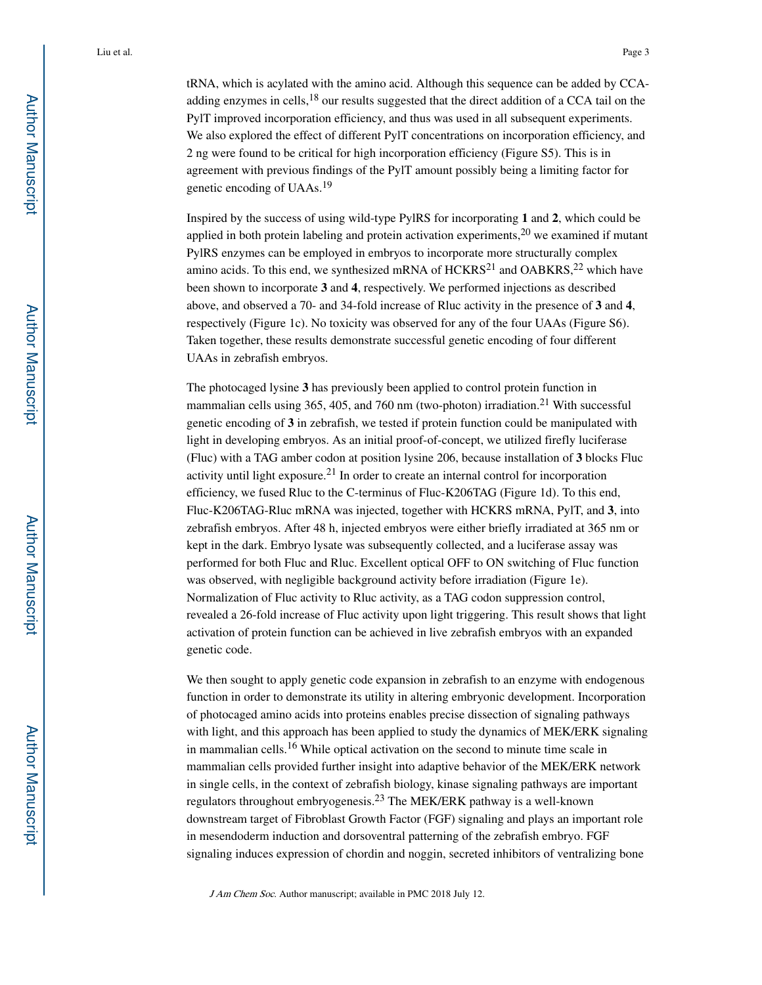tRNA, which is acylated with the amino acid. Although this sequence can be added by CCAadding enzymes in cells,<sup>18</sup> our results suggested that the direct addition of a CCA tail on the PylT improved incorporation efficiency, and thus was used in all subsequent experiments. We also explored the effect of different PylT concentrations on incorporation efficiency, and 2 ng were found to be critical for high incorporation efficiency (Figure S5). This is in agreement with previous findings of the PylT amount possibly being a limiting factor for genetic encoding of UAAs.<sup>19</sup>

Inspired by the success of using wild-type PylRS for incorporating **1** and **2**, which could be applied in both protein labeling and protein activation experiments,  $20$  we examined if mutant PylRS enzymes can be employed in embryos to incorporate more structurally complex amino acids. To this end, we synthesized mRNA of  $HCKRS<sup>21</sup>$  and OABKRS,<sup>22</sup> which have been shown to incorporate **3** and **4**, respectively. We performed injections as described above, and observed a 70- and 34-fold increase of Rluc activity in the presence of **3** and **4**, respectively (Figure 1c). No toxicity was observed for any of the four UAAs (Figure S6). Taken together, these results demonstrate successful genetic encoding of four different UAAs in zebrafish embryos.

The photocaged lysine **3** has previously been applied to control protein function in mammalian cells using 365, 405, and 760 nm (two-photon) irradiation.<sup>21</sup> With successful genetic encoding of **3** in zebrafish, we tested if protein function could be manipulated with light in developing embryos. As an initial proof-of-concept, we utilized firefly luciferase (Fluc) with a TAG amber codon at position lysine 206, because installation of **3** blocks Fluc activity until light exposure.21 In order to create an internal control for incorporation efficiency, we fused Rluc to the C-terminus of Fluc-K206TAG (Figure 1d). To this end, Fluc-K206TAG-Rluc mRNA was injected, together with HCKRS mRNA, PylT, and **3**, into zebrafish embryos. After 48 h, injected embryos were either briefly irradiated at 365 nm or kept in the dark. Embryo lysate was subsequently collected, and a luciferase assay was performed for both Fluc and Rluc. Excellent optical OFF to ON switching of Fluc function was observed, with negligible background activity before irradiation (Figure 1e). Normalization of Fluc activity to Rluc activity, as a TAG codon suppression control, revealed a 26-fold increase of Fluc activity upon light triggering. This result shows that light activation of protein function can be achieved in live zebrafish embryos with an expanded genetic code.

We then sought to apply genetic code expansion in zebrafish to an enzyme with endogenous function in order to demonstrate its utility in altering embryonic development. Incorporation of photocaged amino acids into proteins enables precise dissection of signaling pathways with light, and this approach has been applied to study the dynamics of MEK/ERK signaling in mammalian cells.16 While optical activation on the second to minute time scale in mammalian cells provided further insight into adaptive behavior of the MEK/ERK network in single cells, in the context of zebrafish biology, kinase signaling pathways are important regulators throughout embryogenesis.23 The MEK/ERK pathway is a well-known downstream target of Fibroblast Growth Factor (FGF) signaling and plays an important role in mesendoderm induction and dorsoventral patterning of the zebrafish embryo. FGF signaling induces expression of chordin and noggin, secreted inhibitors of ventralizing bone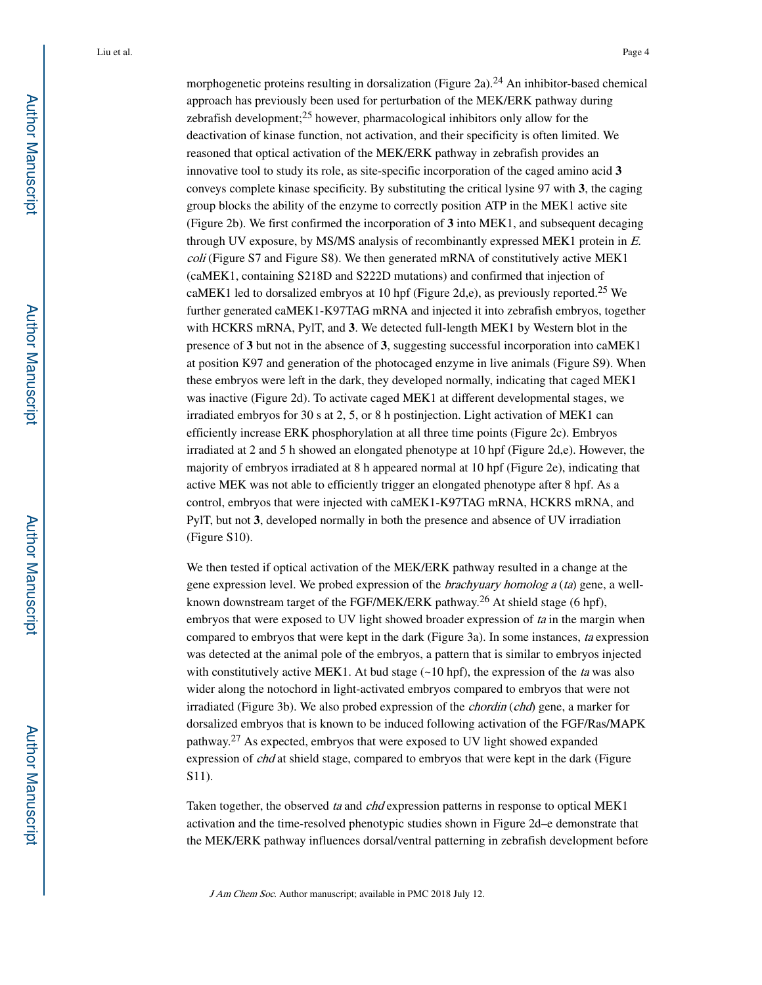morphogenetic proteins resulting in dorsalization (Figure 2a).<sup>24</sup> An inhibitor-based chemical approach has previously been used for perturbation of the MEK/ERK pathway during zebrafish development;25 however, pharmacological inhibitors only allow for the deactivation of kinase function, not activation, and their specificity is often limited. We reasoned that optical activation of the MEK/ERK pathway in zebrafish provides an innovative tool to study its role, as site-specific incorporation of the caged amino acid **3**  conveys complete kinase specificity. By substituting the critical lysine 97 with **3**, the caging group blocks the ability of the enzyme to correctly position ATP in the MEK1 active site (Figure 2b). We first confirmed the incorporation of **3** into MEK1, and subsequent decaging through UV exposure, by MS/MS analysis of recombinantly expressed MEK1 protein in E. coli (Figure S7 and Figure S8). We then generated mRNA of constitutively active MEK1 (caMEK1, containing S218D and S222D mutations) and confirmed that injection of caMEK1 led to dorsalized embryos at 10 hpf (Figure 2d,e), as previously reported.<sup>25</sup> We further generated caMEK1-K97TAG mRNA and injected it into zebrafish embryos, together with HCKRS mRNA, PylT, and **3**. We detected full-length MEK1 by Western blot in the presence of **3** but not in the absence of **3**, suggesting successful incorporation into caMEK1 at position K97 and generation of the photocaged enzyme in live animals (Figure S9). When these embryos were left in the dark, they developed normally, indicating that caged MEK1 was inactive (Figure 2d). To activate caged MEK1 at different developmental stages, we irradiated embryos for 30 s at 2, 5, or 8 h postinjection. Light activation of MEK1 can efficiently increase ERK phosphorylation at all three time points (Figure 2c). Embryos irradiated at 2 and 5 h showed an elongated phenotype at 10 hpf (Figure 2d,e). However, the majority of embryos irradiated at 8 h appeared normal at 10 hpf (Figure 2e), indicating that active MEK was not able to efficiently trigger an elongated phenotype after 8 hpf. As a control, embryos that were injected with caMEK1-K97TAG mRNA, HCKRS mRNA, and PylT, but not **3**, developed normally in both the presence and absence of UV irradiation (Figure S10).

We then tested if optical activation of the MEK/ERK pathway resulted in a change at the gene expression level. We probed expression of the *brachyuary homolog a (ta)* gene, a wellknown downstream target of the FGF/MEK/ERK pathway.<sup>26</sup> At shield stage (6 hpf), embryos that were exposed to UV light showed broader expression of ta in the margin when compared to embryos that were kept in the dark (Figure 3a). In some instances, ta expression was detected at the animal pole of the embryos, a pattern that is similar to embryos injected with constitutively active MEK1. At bud stage  $(\sim 10$  hpf), the expression of the ta was also wider along the notochord in light-activated embryos compared to embryos that were not irradiated (Figure 3b). We also probed expression of the *chordin* (*chd*) gene, a marker for dorsalized embryos that is known to be induced following activation of the FGF/Ras/MAPK pathway.27 As expected, embryos that were exposed to UV light showed expanded expression of chd at shield stage, compared to embryos that were kept in the dark (Figure S11).

Taken together, the observed ta and chd expression patterns in response to optical MEK1 activation and the time-resolved phenotypic studies shown in Figure 2d–e demonstrate that the MEK/ERK pathway influences dorsal/ventral patterning in zebrafish development before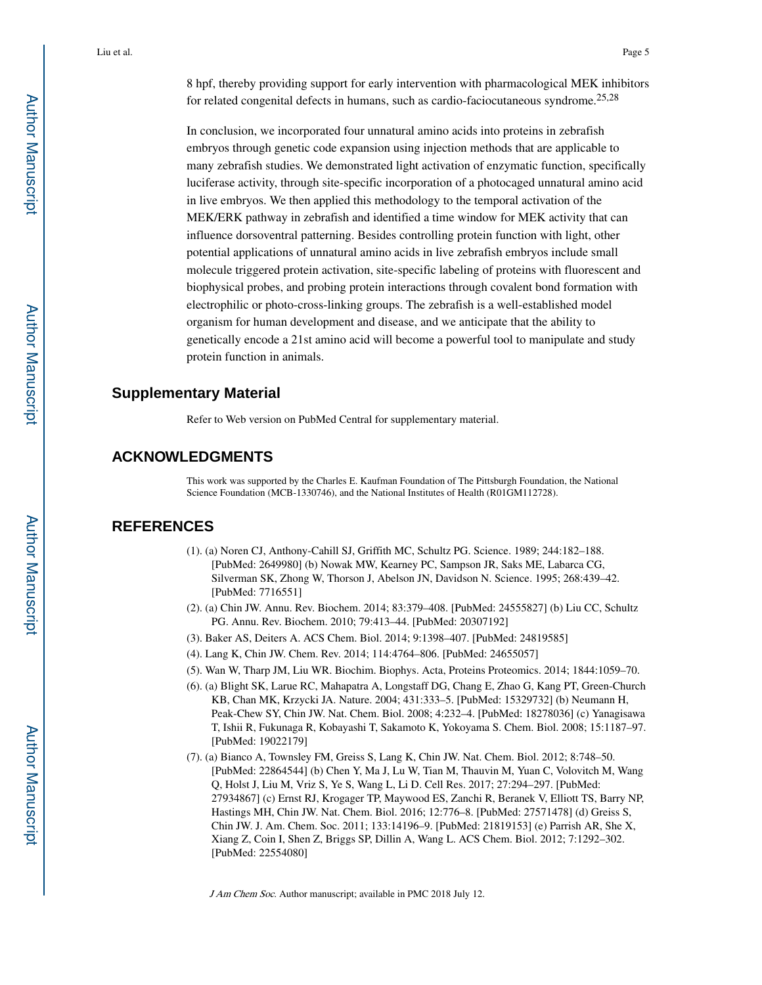In conclusion, we incorporated four unnatural amino acids into proteins in zebrafish embryos through genetic code expansion using injection methods that are applicable to many zebrafish studies. We demonstrated light activation of enzymatic function, specifically luciferase activity, through site-specific incorporation of a photocaged unnatural amino acid in live embryos. We then applied this methodology to the temporal activation of the MEK/ERK pathway in zebrafish and identified a time window for MEK activity that can influence dorsoventral patterning. Besides controlling protein function with light, other potential applications of unnatural amino acids in live zebrafish embryos include small molecule triggered protein activation, site-specific labeling of proteins with fluorescent and biophysical probes, and probing protein interactions through covalent bond formation with electrophilic or photo-cross-linking groups. The zebrafish is a well-established model organism for human development and disease, and we anticipate that the ability to genetically encode a 21st amino acid will become a powerful tool to manipulate and study protein function in animals.

### **Supplementary Material**

Refer to Web version on PubMed Central for supplementary material.

### **ACKNOWLEDGMENTS**

This work was supported by the Charles E. Kaufman Foundation of The Pittsburgh Foundation, the National Science Foundation (MCB-1330746), and the National Institutes of Health (R01GM112728).

## **REFERENCES**

- (1). (a) Noren CJ, Anthony-Cahill SJ, Griffith MC, Schultz PG. Science. 1989; 244:182–188. [PubMed: 2649980] (b) Nowak MW, Kearney PC, Sampson JR, Saks ME, Labarca CG, Silverman SK, Zhong W, Thorson J, Abelson JN, Davidson N. Science. 1995; 268:439–42. [PubMed: 7716551]
- (2). (a) Chin JW. Annu. Rev. Biochem. 2014; 83:379–408. [PubMed: 24555827] (b) Liu CC, Schultz PG. Annu. Rev. Biochem. 2010; 79:413–44. [PubMed: 20307192]
- (3). Baker AS, Deiters A. ACS Chem. Biol. 2014; 9:1398–407. [PubMed: 24819585]
- (4). Lang K, Chin JW. Chem. Rev. 2014; 114:4764–806. [PubMed: 24655057]
- (5). Wan W, Tharp JM, Liu WR. Biochim. Biophys. Acta, Proteins Proteomics. 2014; 1844:1059–70.
- (6). (a) Blight SK, Larue RC, Mahapatra A, Longstaff DG, Chang E, Zhao G, Kang PT, Green-Church KB, Chan MK, Krzycki JA. Nature. 2004; 431:333–5. [PubMed: 15329732] (b) Neumann H, Peak-Chew SY, Chin JW. Nat. Chem. Biol. 2008; 4:232–4. [PubMed: 18278036] (c) Yanagisawa T, Ishii R, Fukunaga R, Kobayashi T, Sakamoto K, Yokoyama S. Chem. Biol. 2008; 15:1187–97. [PubMed: 19022179]
- (7). (a) Bianco A, Townsley FM, Greiss S, Lang K, Chin JW. Nat. Chem. Biol. 2012; 8:748–50. [PubMed: 22864544] (b) Chen Y, Ma J, Lu W, Tian M, Thauvin M, Yuan C, Volovitch M, Wang Q, Holst J, Liu M, Vriz S, Ye S, Wang L, Li D. Cell Res. 2017; 27:294–297. [PubMed: 27934867] (c) Ernst RJ, Krogager TP, Maywood ES, Zanchi R, Beranek V, Elliott TS, Barry NP, Hastings MH, Chin JW. Nat. Chem. Biol. 2016; 12:776–8. [PubMed: 27571478] (d) Greiss S, Chin JW. J. Am. Chem. Soc. 2011; 133:14196–9. [PubMed: 21819153] (e) Parrish AR, She X, Xiang Z, Coin I, Shen Z, Briggs SP, Dillin A, Wang L. ACS Chem. Biol. 2012; 7:1292–302. [PubMed: 22554080]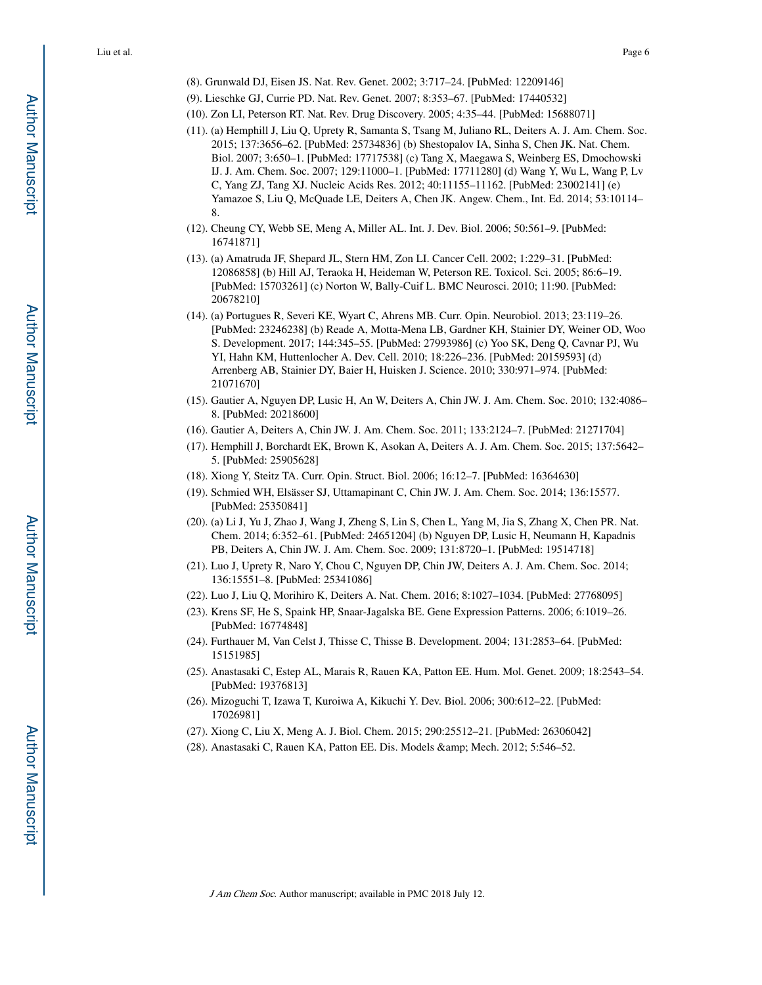- (8). Grunwald DJ, Eisen JS. Nat. Rev. Genet. 2002; 3:717–24. [PubMed: 12209146]
- (9). Lieschke GJ, Currie PD. Nat. Rev. Genet. 2007; 8:353–67. [PubMed: 17440532]
- (10). Zon LI, Peterson RT. Nat. Rev. Drug Discovery. 2005; 4:35–44. [PubMed: 15688071]
- (11). (a) Hemphill J, Liu Q, Uprety R, Samanta S, Tsang M, Juliano RL, Deiters A. J. Am. Chem. Soc. 2015; 137:3656–62. [PubMed: 25734836] (b) Shestopalov IA, Sinha S, Chen JK. Nat. Chem. Biol. 2007; 3:650–1. [PubMed: 17717538] (c) Tang X, Maegawa S, Weinberg ES, Dmochowski IJ. J. Am. Chem. Soc. 2007; 129:11000–1. [PubMed: 17711280] (d) Wang Y, Wu L, Wang P, Lv C, Yang ZJ, Tang XJ. Nucleic Acids Res. 2012; 40:11155–11162. [PubMed: 23002141] (e) Yamazoe S, Liu Q, McQuade LE, Deiters A, Chen JK. Angew. Chem., Int. Ed. 2014; 53:10114– 8.
- (12). Cheung CY, Webb SE, Meng A, Miller AL. Int. J. Dev. Biol. 2006; 50:561–9. [PubMed: 16741871]
- (13). (a) Amatruda JF, Shepard JL, Stern HM, Zon LI. Cancer Cell. 2002; 1:229–31. [PubMed: 12086858] (b) Hill AJ, Teraoka H, Heideman W, Peterson RE. Toxicol. Sci. 2005; 86:6–19. [PubMed: 15703261] (c) Norton W, Bally-Cuif L. BMC Neurosci. 2010; 11:90. [PubMed: 20678210]
- (14). (a) Portugues R, Severi KE, Wyart C, Ahrens MB. Curr. Opin. Neurobiol. 2013; 23:119–26. [PubMed: 23246238] (b) Reade A, Motta-Mena LB, Gardner KH, Stainier DY, Weiner OD, Woo S. Development. 2017; 144:345–55. [PubMed: 27993986] (c) Yoo SK, Deng Q, Cavnar PJ, Wu YI, Hahn KM, Huttenlocher A. Dev. Cell. 2010; 18:226–236. [PubMed: 20159593] (d) Arrenberg AB, Stainier DY, Baier H, Huisken J. Science. 2010; 330:971–974. [PubMed: 21071670]
- (15). Gautier A, Nguyen DP, Lusic H, An W, Deiters A, Chin JW. J. Am. Chem. Soc. 2010; 132:4086– 8. [PubMed: 20218600]
- (16). Gautier A, Deiters A, Chin JW. J. Am. Chem. Soc. 2011; 133:2124–7. [PubMed: 21271704]
- (17). Hemphill J, Borchardt EK, Brown K, Asokan A, Deiters A. J. Am. Chem. Soc. 2015; 137:5642– 5. [PubMed: 25905628]
- (18). Xiong Y, Steitz TA. Curr. Opin. Struct. Biol. 2006; 16:12–7. [PubMed: 16364630]
- (19). Schmied WH, Elsässer SJ, Uttamapinant C, Chin JW. J. Am. Chem. Soc. 2014; 136:15577. [PubMed: 25350841]
- (20). (a) Li J, Yu J, Zhao J, Wang J, Zheng S, Lin S, Chen L, Yang M, Jia S, Zhang X, Chen PR. Nat. Chem. 2014; 6:352–61. [PubMed: 24651204] (b) Nguyen DP, Lusic H, Neumann H, Kapadnis PB, Deiters A, Chin JW. J. Am. Chem. Soc. 2009; 131:8720–1. [PubMed: 19514718]
- (21). Luo J, Uprety R, Naro Y, Chou C, Nguyen DP, Chin JW, Deiters A. J. Am. Chem. Soc. 2014; 136:15551–8. [PubMed: 25341086]
- (22). Luo J, Liu Q, Morihiro K, Deiters A. Nat. Chem. 2016; 8:1027–1034. [PubMed: 27768095]
- (23). Krens SF, He S, Spaink HP, Snaar-Jagalska BE. Gene Expression Patterns. 2006; 6:1019–26. [PubMed: 16774848]
- (24). Furthauer M, Van Celst J, Thisse C, Thisse B. Development. 2004; 131:2853–64. [PubMed: 15151985]
- (25). Anastasaki C, Estep AL, Marais R, Rauen KA, Patton EE. Hum. Mol. Genet. 2009; 18:2543–54. [PubMed: 19376813]
- (26). Mizoguchi T, Izawa T, Kuroiwa A, Kikuchi Y. Dev. Biol. 2006; 300:612–22. [PubMed: 17026981]
- (27). Xiong C, Liu X, Meng A. J. Biol. Chem. 2015; 290:25512–21. [PubMed: 26306042]
- (28). Anastasaki C, Rauen KA, Patton EE. Dis. Models & amp; Mech. 2012; 5:546–52.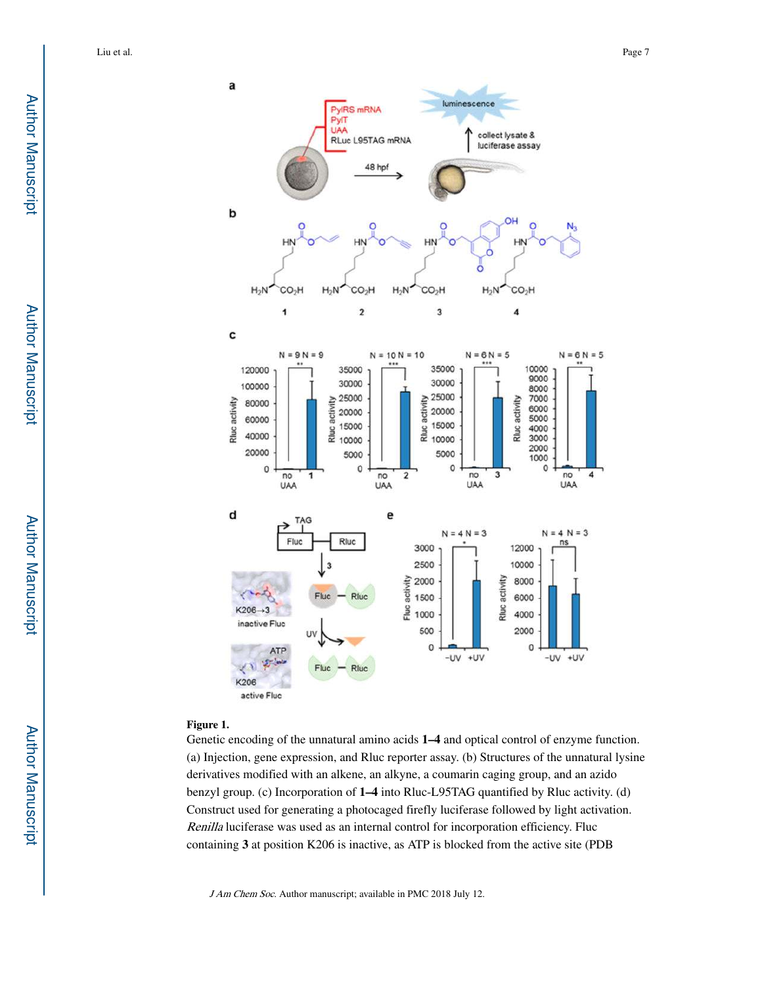

#### **Figure 1.**

Genetic encoding of the unnatural amino acids **1–4** and optical control of enzyme function. (a) Injection, gene expression, and Rluc reporter assay. (b) Structures of the unnatural lysine derivatives modified with an alkene, an alkyne, a coumarin caging group, and an azido benzyl group. (c) Incorporation of **1–4** into Rluc-L95TAG quantified by Rluc activity. (d) Construct used for generating a photocaged firefly luciferase followed by light activation. Renilla luciferase was used as an internal control for incorporation efficiency. Fluc containing **3** at position K206 is inactive, as ATP is blocked from the active site (PDB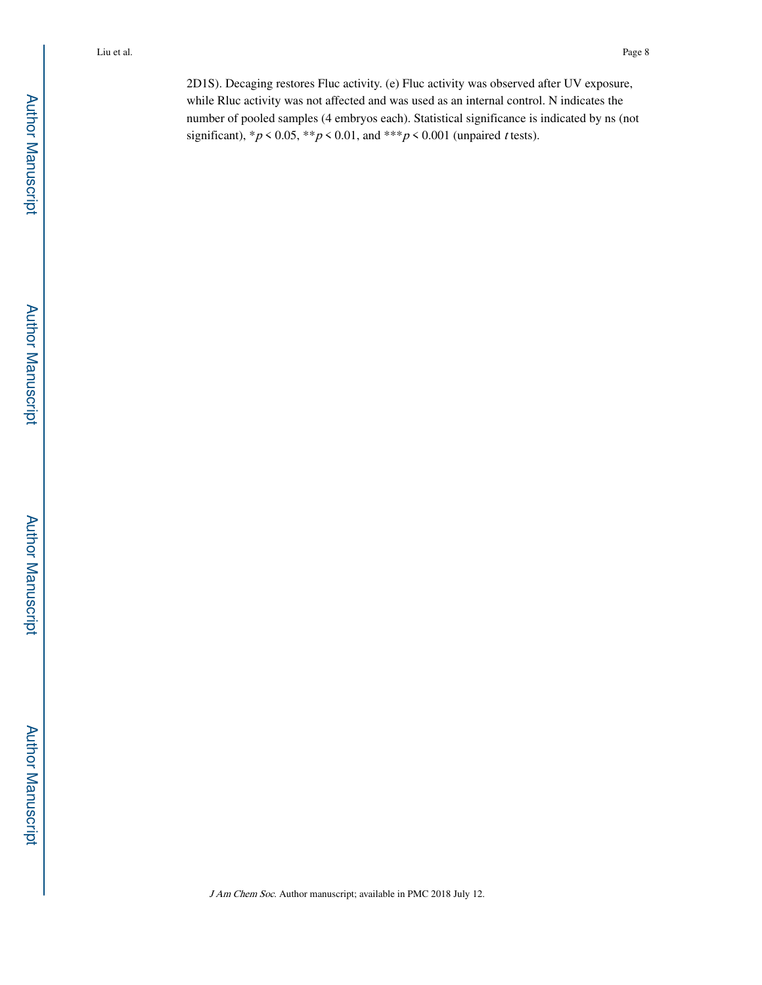2D1S). Decaging restores Fluc activity. (e) Fluc activity was observed after UV exposure, while Rluc activity was not affected and was used as an internal control. N indicates the number of pooled samples (4 embryos each). Statistical significance is indicated by ns (not significant),  ${}^*p$  < 0.05,  ${}^*{}^p$  < 0.01, and  ${}^*{}^*p$  < 0.001 (unpaired *t* tests).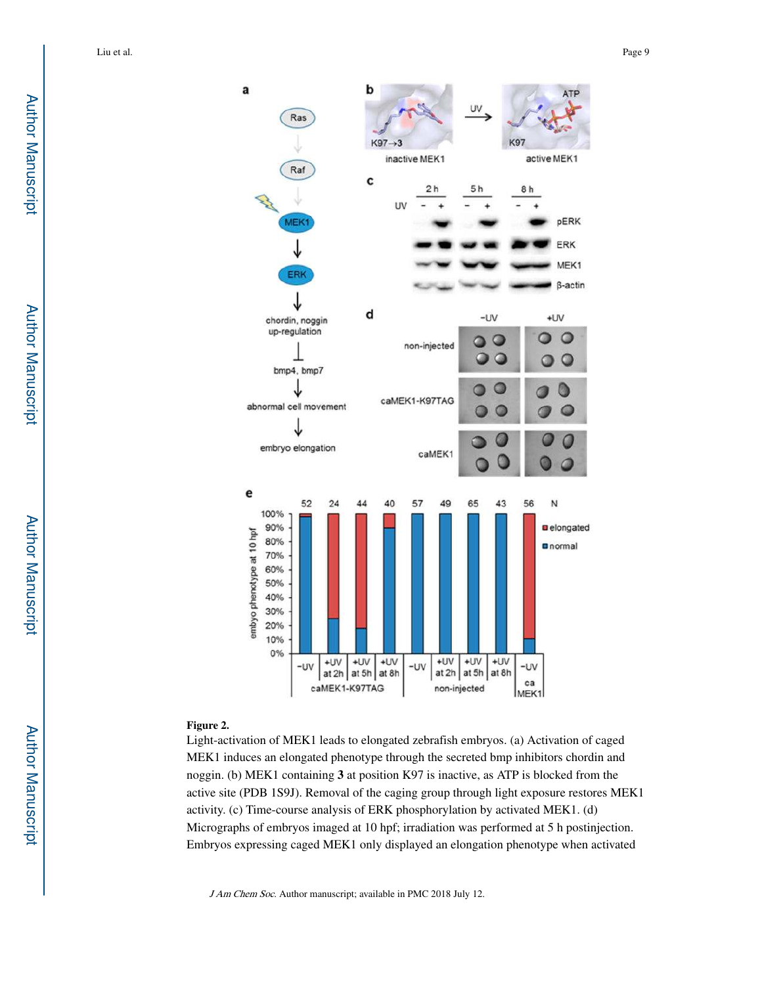

#### **Figure 2.**

Light-activation of MEK1 leads to elongated zebrafish embryos. (a) Activation of caged MEK1 induces an elongated phenotype through the secreted bmp inhibitors chordin and noggin. (b) MEK1 containing **3** at position K97 is inactive, as ATP is blocked from the active site (PDB 1S9J). Removal of the caging group through light exposure restores MEK1 activity. (c) Time-course analysis of ERK phosphorylation by activated MEK1. (d) Micrographs of embryos imaged at 10 hpf; irradiation was performed at 5 h postinjection. Embryos expressing caged MEK1 only displayed an elongation phenotype when activated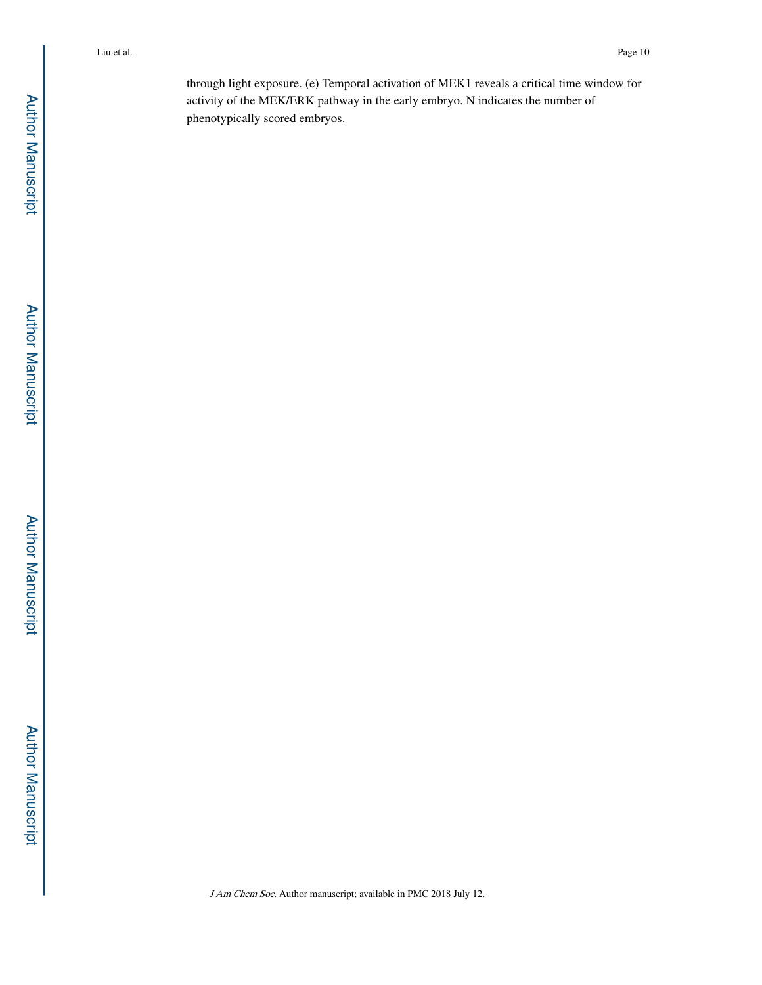through light exposure. (e) Temporal activation of MEK1 reveals a critical time window for activity of the MEK/ERK pathway in the early embryo. N indicates the number of phenotypically scored embryos.